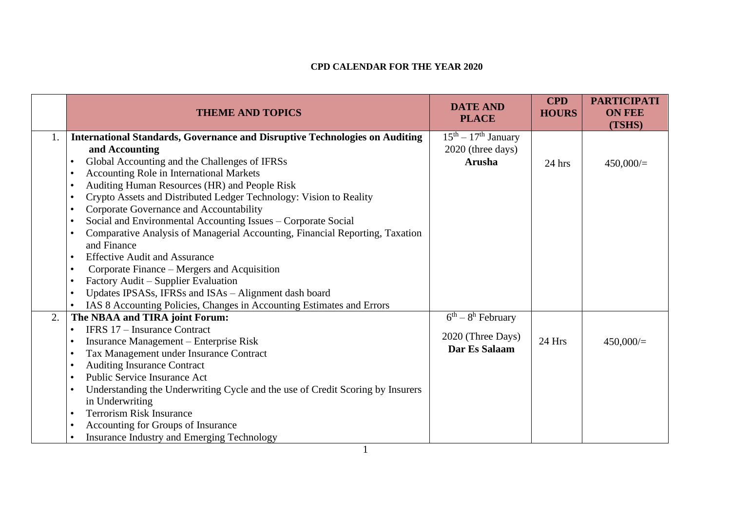## **CPD CALENDAR FOR THE YEAR 2020**

|    | <b>THEME AND TOPICS</b>                                                            | <b>DATE AND</b><br><b>PLACE</b>      | <b>CPD</b><br><b>HOURS</b> | <b>PARTICIPATI</b><br><b>ON FEE</b><br>(TSHS) |
|----|------------------------------------------------------------------------------------|--------------------------------------|----------------------------|-----------------------------------------------|
| 1. | <b>International Standards, Governance and Disruptive Technologies on Auditing</b> | $15th - 17th$ January                |                            |                                               |
|    | and Accounting                                                                     | 2020 (three days)                    |                            |                                               |
|    | Global Accounting and the Challenges of IFRSs                                      | <b>Arusha</b>                        | 24 hrs                     | $450,000 =$                                   |
|    | <b>Accounting Role in International Markets</b><br>$\bullet$                       |                                      |                            |                                               |
|    | Auditing Human Resources (HR) and People Risk                                      |                                      |                            |                                               |
|    | Crypto Assets and Distributed Ledger Technology: Vision to Reality                 |                                      |                            |                                               |
|    | Corporate Governance and Accountability                                            |                                      |                            |                                               |
|    | Social and Environmental Accounting Issues - Corporate Social                      |                                      |                            |                                               |
|    | Comparative Analysis of Managerial Accounting, Financial Reporting, Taxation       |                                      |                            |                                               |
|    | and Finance                                                                        |                                      |                            |                                               |
|    | <b>Effective Audit and Assurance</b>                                               |                                      |                            |                                               |
|    | Corporate Finance – Mergers and Acquisition<br>$\bullet$                           |                                      |                            |                                               |
|    | Factory Audit – Supplier Evaluation                                                |                                      |                            |                                               |
|    | Updates IPSASs, IFRSs and ISAs - Alignment dash board                              |                                      |                            |                                               |
|    | IAS 8 Accounting Policies, Changes in Accounting Estimates and Errors<br>$\bullet$ |                                      |                            |                                               |
| 2. | The NBAA and TIRA joint Forum:                                                     | $\overline{6^{th}} - 8^{h}$ February |                            |                                               |
|    | IFRS 17 - Insurance Contract<br>$\bullet$                                          |                                      |                            |                                               |
|    | Insurance Management – Enterprise Risk                                             | 2020 (Three Days)                    | 24 Hrs                     | 450,000/                                      |
|    | Tax Management under Insurance Contract                                            | Dar Es Salaam                        |                            |                                               |
|    | <b>Auditing Insurance Contract</b>                                                 |                                      |                            |                                               |
|    | <b>Public Service Insurance Act</b>                                                |                                      |                            |                                               |
|    | Understanding the Underwriting Cycle and the use of Credit Scoring by Insurers     |                                      |                            |                                               |
|    | in Underwriting                                                                    |                                      |                            |                                               |
|    | <b>Terrorism Risk Insurance</b><br>$\bullet$                                       |                                      |                            |                                               |
|    | Accounting for Groups of Insurance                                                 |                                      |                            |                                               |
|    | <b>Insurance Industry and Emerging Technology</b>                                  |                                      |                            |                                               |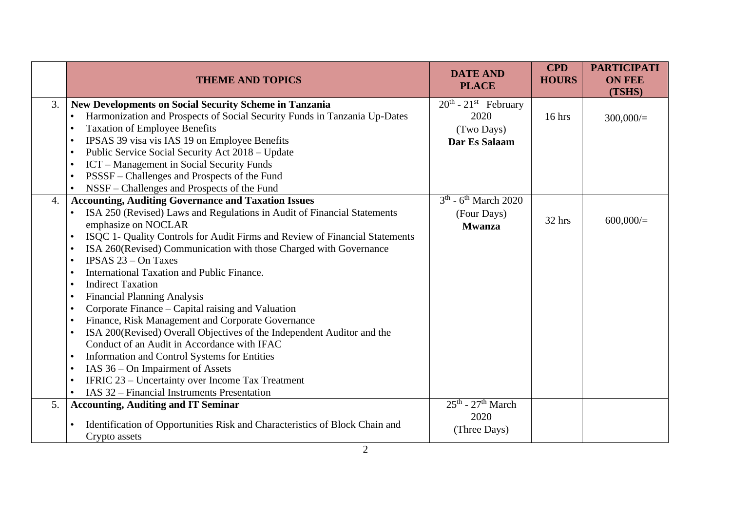|    | <b>THEME AND TOPICS</b>                                                                                                                                                                                                                                                                                                                                                                                                                                                                                                                                                                                                                                                                                                                                                                                                                                                                                                                                                                                                                                      | <b>DATE AND</b><br><b>PLACE</b>                                           | <b>CPD</b><br><b>HOURS</b> | <b>PARTICIPATI</b><br><b>ON FEE</b><br>(TSHS) |
|----|--------------------------------------------------------------------------------------------------------------------------------------------------------------------------------------------------------------------------------------------------------------------------------------------------------------------------------------------------------------------------------------------------------------------------------------------------------------------------------------------------------------------------------------------------------------------------------------------------------------------------------------------------------------------------------------------------------------------------------------------------------------------------------------------------------------------------------------------------------------------------------------------------------------------------------------------------------------------------------------------------------------------------------------------------------------|---------------------------------------------------------------------------|----------------------------|-----------------------------------------------|
| 3. | <b>New Developments on Social Security Scheme in Tanzania</b><br>Harmonization and Prospects of Social Security Funds in Tanzania Up-Dates<br><b>Taxation of Employee Benefits</b><br>$\bullet$<br>IPSAS 39 visa vis IAS 19 on Employee Benefits<br>$\bullet$<br>Public Service Social Security Act 2018 – Update<br>$\bullet$<br>ICT – Management in Social Security Funds<br>$\bullet$<br>PSSSF - Challenges and Prospects of the Fund<br>$\bullet$<br>$\bullet$                                                                                                                                                                                                                                                                                                                                                                                                                                                                                                                                                                                           | $20th$ - 21 <sup>st</sup> February<br>2020<br>(Two Days)<br>Dar Es Salaam | 16 hrs                     | 300,000/                                      |
| 4. | NSSF - Challenges and Prospects of the Fund<br><b>Accounting, Auditing Governance and Taxation Issues</b><br>ISA 250 (Revised) Laws and Regulations in Audit of Financial Statements<br>emphasize on NOCLAR<br>ISQC 1- Quality Controls for Audit Firms and Review of Financial Statements<br>$\bullet$<br>ISA 260(Revised) Communication with those Charged with Governance<br><b>IPSAS 23 – On Taxes</b><br>$\bullet$<br>International Taxation and Public Finance.<br>$\bullet$<br><b>Indirect Taxation</b><br>$\bullet$<br><b>Financial Planning Analysis</b><br>$\bullet$<br>Corporate Finance – Capital raising and Valuation<br>Finance, Risk Management and Corporate Governance<br>ISA 200(Revised) Overall Objectives of the Independent Auditor and the<br>$\bullet$<br>Conduct of an Audit in Accordance with IFAC<br>Information and Control Systems for Entities<br>$\bullet$<br>IAS 36 – On Impairment of Assets<br>$\bullet$<br>IFRIC 23 – Uncertainty over Income Tax Treatment<br>$\bullet$<br>IAS 32 – Financial Instruments Presentation | $3th$ - 6 <sup>th</sup> March 2020<br>(Four Days)<br><b>Mwanza</b>        | 32 hrs                     | 600,000/                                      |
| 5. | <b>Accounting, Auditing and IT Seminar</b><br>Identification of Opportunities Risk and Characteristics of Block Chain and<br>Crypto assets                                                                                                                                                                                                                                                                                                                                                                                                                                                                                                                                                                                                                                                                                                                                                                                                                                                                                                                   | $25^{\text{th}}$ - $27^{\text{th}}$ March<br>2020<br>(Three Days)         |                            |                                               |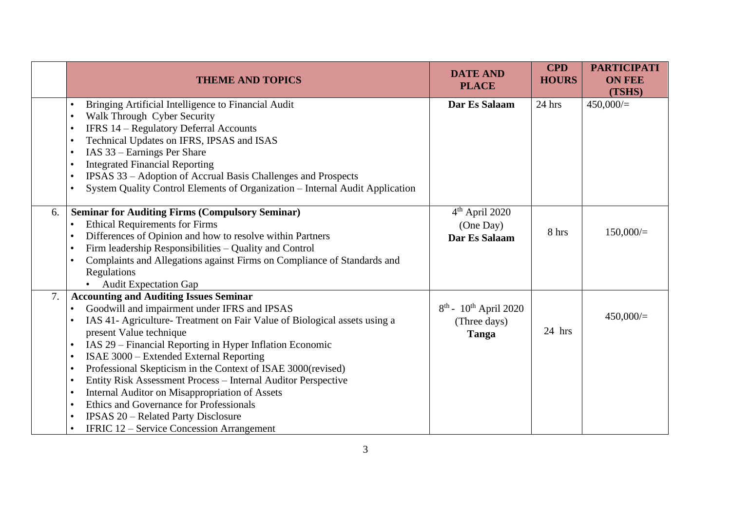|    | <b>THEME AND TOPICS</b>                                                                                                                                                                                                                                                                                                                                                                                                                                                                                                                                                                                                                                                             | <b>DATE AND</b><br><b>PLACE</b>                                 | <b>CPD</b><br><b>HOURS</b> | <b>PARTICIPATI</b><br><b>ON FEE</b><br>(TSHS) |
|----|-------------------------------------------------------------------------------------------------------------------------------------------------------------------------------------------------------------------------------------------------------------------------------------------------------------------------------------------------------------------------------------------------------------------------------------------------------------------------------------------------------------------------------------------------------------------------------------------------------------------------------------------------------------------------------------|-----------------------------------------------------------------|----------------------------|-----------------------------------------------|
|    | Bringing Artificial Intelligence to Financial Audit<br>Walk Through Cyber Security<br>IFRS 14 - Regulatory Deferral Accounts<br>Technical Updates on IFRS, IPSAS and ISAS<br>IAS 33 - Earnings Per Share<br><b>Integrated Financial Reporting</b><br>IPSAS 33 - Adoption of Accrual Basis Challenges and Prospects<br>System Quality Control Elements of Organization - Internal Audit Application                                                                                                                                                                                                                                                                                  | Dar Es Salaam                                                   | 24 hrs                     | 450,000/                                      |
| 6. | <b>Seminar for Auditing Firms (Compulsory Seminar)</b><br><b>Ethical Requirements for Firms</b><br>Differences of Opinion and how to resolve within Partners<br>Firm leadership Responsibilities - Quality and Control<br>Complaints and Allegations against Firms on Compliance of Standards and<br>Regulations<br><b>Audit Expectation Gap</b>                                                                                                                                                                                                                                                                                                                                    | $4th$ April 2020<br>(One Day)<br>Dar Es Salaam                  | 8 hrs                      | 150,000/                                      |
| 7. | <b>Accounting and Auditing Issues Seminar</b><br>Goodwill and impairment under IFRS and IPSAS<br>IAS 41- Agriculture- Treatment on Fair Value of Biological assets using a<br>present Value technique<br>IAS 29 – Financial Reporting in Hyper Inflation Economic<br>ISAE 3000 - Extended External Reporting<br>$\bullet$<br>Professional Skepticism in the Context of ISAE 3000(revised)<br>$\bullet$<br>Entity Risk Assessment Process - Internal Auditor Perspective<br>$\bullet$<br>Internal Auditor on Misappropriation of Assets<br>Ethics and Governance for Professionals<br><b>IPSAS 20 – Related Party Disclosure</b><br><b>IFRIC 12 – Service Concession Arrangement</b> | $8^{th}$ - 10 <sup>th</sup> April 2020<br>(Three days)<br>Tanga | 24 hrs                     | 450,000/                                      |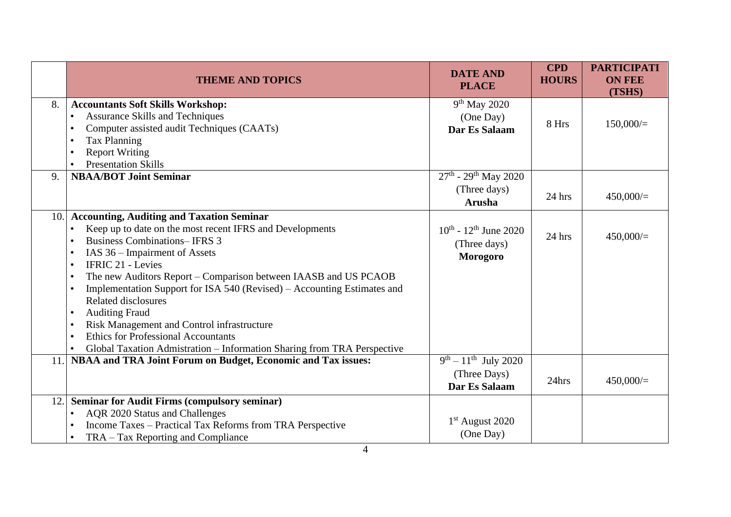|      | <b>THEME AND TOPICS</b>                                                                                                                                                                                                                                                                                                                                                                                                                                                                                                                                                                                                       | <b>DATE AND</b><br><b>PLACE</b>                                     | <b>CPD</b><br><b>HOURS</b> | <b>PARTICIPATI</b><br><b>ON FEE</b><br>(TSHS) |
|------|-------------------------------------------------------------------------------------------------------------------------------------------------------------------------------------------------------------------------------------------------------------------------------------------------------------------------------------------------------------------------------------------------------------------------------------------------------------------------------------------------------------------------------------------------------------------------------------------------------------------------------|---------------------------------------------------------------------|----------------------------|-----------------------------------------------|
| 8.   | <b>Accountants Soft Skills Workshop:</b><br><b>Assurance Skills and Techniques</b><br>Computer assisted audit Techniques (CAATs)<br>$\bullet$<br><b>Tax Planning</b><br>$\bullet$<br><b>Report Writing</b><br><b>Presentation Skills</b>                                                                                                                                                                                                                                                                                                                                                                                      | $9th$ May 2020<br>(One Day)<br>Dar Es Salaam                        | 8 Hrs                      | 150,000/                                      |
| 9.   | <b>NBAA/BOT Joint Seminar</b>                                                                                                                                                                                                                                                                                                                                                                                                                                                                                                                                                                                                 | $27th$ - 29 <sup>th</sup> May 2020<br>(Three days)<br><b>Arusha</b> | 24 hrs                     | 450,000/                                      |
| 10.1 | <b>Accounting, Auditing and Taxation Seminar</b><br>Keep up to date on the most recent IFRS and Developments<br><b>Business Combinations– IFRS 3</b><br>IAS 36 – Impairment of Assets<br>$\bullet$<br><b>IFRIC 21 - Levies</b><br>The new Auditors Report – Comparison between IAASB and US PCAOB<br>Implementation Support for ISA 540 (Revised) – Accounting Estimates and<br>Related disclosures<br><b>Auditing Fraud</b><br>$\bullet$<br>Risk Management and Control infrastructure<br>$\bullet$<br><b>Ethics for Professional Accountants</b><br>Global Taxation Admistration - Information Sharing from TRA Perspective | $10^{th}$ - $12^{th}$ June 2020<br>(Three days)<br><b>Morogoro</b>  | 24 hrs                     | 450,000/                                      |
| 11.  | NBAA and TRA Joint Forum on Budget, Economic and Tax issues:                                                                                                                                                                                                                                                                                                                                                                                                                                                                                                                                                                  | $9^{th} - 11^{th}$ July 2020<br>(Three Days)<br>Dar Es Salaam       | 24hrs                      | 450,000/                                      |
| 12.  | <b>Seminar for Audit Firms (compulsory seminar)</b><br>AQR 2020 Status and Challenges<br>Income Taxes - Practical Tax Reforms from TRA Perspective<br>TRA – Tax Reporting and Compliance                                                                                                                                                                                                                                                                                                                                                                                                                                      | $1st$ August 2020<br>(One Day)                                      |                            |                                               |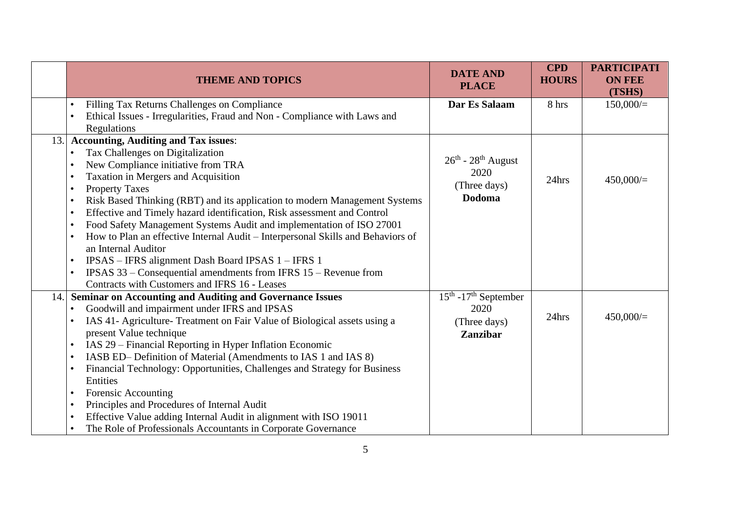| <b>DATE AND</b><br><b>THEME AND TOPICS</b><br><b>HOURS</b><br><b>PLACE</b>                                                                          | <b>ON FEE</b><br>(TSHS) |
|-----------------------------------------------------------------------------------------------------------------------------------------------------|-------------------------|
| Filling Tax Returns Challenges on Compliance<br>Dar Es Salaam<br>8 hrs<br>Ethical Issues - Irregularities, Fraud and Non - Compliance with Laws and | $150,000/=$             |
| Regulations                                                                                                                                         |                         |
| <b>Accounting, Auditing and Tax issues:</b><br>13.                                                                                                  |                         |
| Tax Challenges on Digitalization<br>$\bullet$<br>$26^{\text{th}}$ - $28^{\text{th}}$ August                                                         |                         |
| New Compliance initiative from TRA<br>2020                                                                                                          |                         |
| Taxation in Mergers and Acquisition<br>24hrs<br>(Three days)                                                                                        | 450,000/                |
| <b>Property Taxes</b><br><b>Dodoma</b>                                                                                                              |                         |
| Risk Based Thinking (RBT) and its application to modern Management Systems                                                                          |                         |
| Effective and Timely hazard identification, Risk assessment and Control<br>Food Safety Management Systems Audit and implementation of ISO 27001     |                         |
| How to Plan an effective Internal Audit - Interpersonal Skills and Behaviors of                                                                     |                         |
| an Internal Auditor                                                                                                                                 |                         |
| IPSAS - IFRS alignment Dash Board IPSAS 1 - IFRS 1                                                                                                  |                         |
| IPSAS 33 – Consequential amendments from IFRS 15 – Revenue from                                                                                     |                         |
| Contracts with Customers and IFRS 16 - Leases                                                                                                       |                         |
| $15th - 17th$ September<br><b>Seminar on Accounting and Auditing and Governance Issues</b><br>14.                                                   |                         |
| Goodwill and impairment under IFRS and IPSAS<br>2020<br>$\bullet$                                                                                   |                         |
| 24hrs<br>IAS 41- Agriculture- Treatment on Fair Value of Biological assets using a<br>(Three days)                                                  | 450,000/                |
| present Value technique<br><b>Zanzibar</b>                                                                                                          |                         |
| IAS 29 - Financial Reporting in Hyper Inflation Economic                                                                                            |                         |
| IASB ED– Definition of Material (Amendments to IAS 1 and IAS 8)                                                                                     |                         |
| Financial Technology: Opportunities, Challenges and Strategy for Business                                                                           |                         |
| Entities                                                                                                                                            |                         |
| <b>Forensic Accounting</b><br>$\bullet$                                                                                                             |                         |
| Principles and Procedures of Internal Audit                                                                                                         |                         |
| Effective Value adding Internal Audit in alignment with ISO 19011<br>The Role of Professionals Accountants in Corporate Governance                  |                         |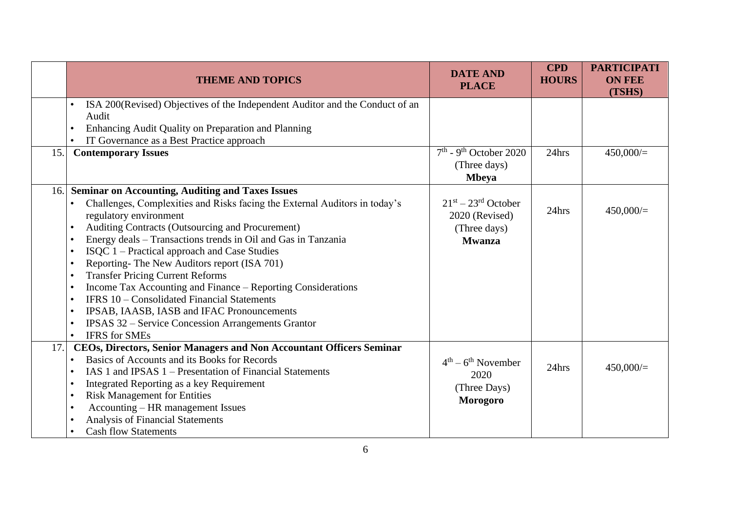|     | <b>THEME AND TOPICS</b>                                                                                                                                                                                                                                                                                                                                                                                                                                                                                                                                                                                                                                                                                                                                                                                    | <b>DATE AND</b><br><b>PLACE</b>                                          | <b>CPD</b><br><b>HOURS</b> | <b>PARTICIPATI</b><br><b>ON FEE</b><br>(TSHS) |
|-----|------------------------------------------------------------------------------------------------------------------------------------------------------------------------------------------------------------------------------------------------------------------------------------------------------------------------------------------------------------------------------------------------------------------------------------------------------------------------------------------------------------------------------------------------------------------------------------------------------------------------------------------------------------------------------------------------------------------------------------------------------------------------------------------------------------|--------------------------------------------------------------------------|----------------------------|-----------------------------------------------|
|     | ISA 200(Revised) Objectives of the Independent Auditor and the Conduct of an<br>Audit<br>Enhancing Audit Quality on Preparation and Planning<br>$\bullet$<br>IT Governance as a Best Practice approach                                                                                                                                                                                                                                                                                                                                                                                                                                                                                                                                                                                                     |                                                                          |                            |                                               |
| 15. | <b>Contemporary Issues</b>                                                                                                                                                                                                                                                                                                                                                                                                                                                                                                                                                                                                                                                                                                                                                                                 | $7th$ - 9 <sup>th</sup> October 2020<br>(Three days)<br><b>Mbeya</b>     | 24hrs                      | 450,000/                                      |
| 16. | <b>Seminar on Accounting, Auditing and Taxes Issues</b><br>Challenges, Complexities and Risks facing the External Auditors in today's<br>٠<br>regulatory environment<br>Auditing Contracts (Outsourcing and Procurement)<br>$\bullet$<br>Energy deals - Transactions trends in Oil and Gas in Tanzania<br>$\bullet$<br>ISQC 1 – Practical approach and Case Studies<br>$\bullet$<br>Reporting-The New Auditors report (ISA 701)<br>$\bullet$<br><b>Transfer Pricing Current Reforms</b><br>Income Tax Accounting and Finance – Reporting Considerations<br>$\bullet$<br>IFRS 10 - Consolidated Financial Statements<br>$\bullet$<br>IPSAB, IAASB, IASB and IFAC Pronouncements<br>$\bullet$<br><b>IPSAS 32 – Service Concession Arrangements Grantor</b><br>$\bullet$<br><b>IFRS</b> for SMEs<br>$\bullet$ | $21st - 23rd$ October<br>2020 (Revised)<br>(Three days)<br><b>Mwanza</b> | 24hrs                      | 450,000/                                      |
| 17. | CEOs, Directors, Senior Managers and Non Accountant Officers Seminar<br>Basics of Accounts and its Books for Records<br>$\bullet$<br>IAS 1 and IPSAS 1 – Presentation of Financial Statements<br>$\bullet$<br>Integrated Reporting as a key Requirement<br>$\bullet$<br><b>Risk Management for Entities</b><br>$\bullet$<br>Accounting – HR management Issues<br>$\bullet$<br>Analysis of Financial Statements<br><b>Cash flow Statements</b>                                                                                                                                                                                                                                                                                                                                                              | $4^{th} - 6^{th}$ November<br>2020<br>(Three Days)<br><b>Morogoro</b>    | 24hrs                      | 450,000/                                      |